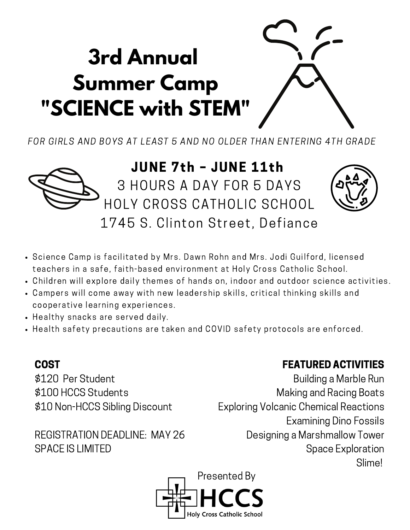# **3rd Annual Summer Camp "SCIENCE with STEM"**

FOR GIRLS AND BOYS AT LEAST 5 AND NO OLDER THAN ENTERING 4TH GRADE



## JUNE 7th – JUNE 11th 3 HOURS A DAY FOR 5 DAYS

HOLY CROSS CATHOLIC SCHOOL 1745 S. Clinton Street, Defiance



- Science Camp is facilitated by Mrs. Dawn Rohn and Mrs. Jodi Guilford, licensed teachers in a safe, faith-based environment at Holy Cross Catholic School.
- Children will explore daily themes of hands on, indoor and outdoor science activities.
- Campers will come away with new leadership skills, critical thinking skills and cooperative learning experiences.
- Healthy snacks are served daily.
- Health safety precautions are taken and COVID safety protocols are enforced.

### COST

\$120 Per Student \$100 HCCS Students \$10 Non-HCCS Sibling Discount

REGISTRATION DEADLINE: MAY 26 SPACE IS LIMITED

#### FEATURED ACTIVITIES

Building a Marble Run Making and Racing Boats Exploring Volcanic Chemical Reactions Examining Dino Fossils Designing a Marshmallow Tower Space Exploration Slime!